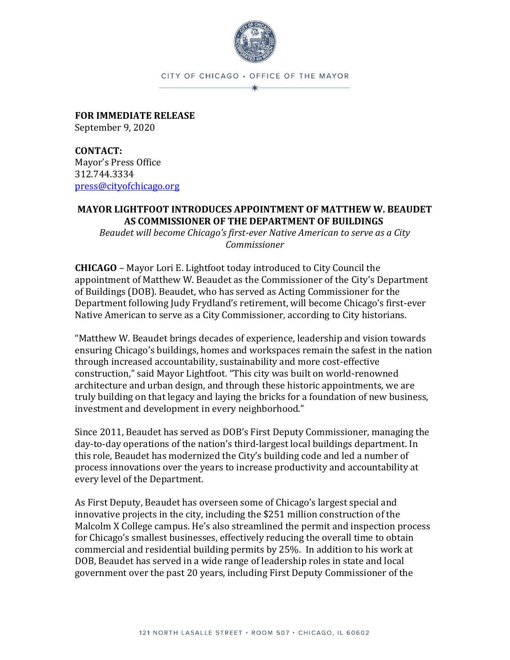

## CITY OF CHICAGO . OFFICE OF THE MAYOR  $\star$

**FOR IMMEDIATE RELEASE** September 9, 2020

**CONTACT:** Mayor's Press Office 312.744.3334 [press@cityofchicago.org](mailto:press@cityofchicago.org)

## **MAYOR LIGHTFOOT INTRODUCES APPOINTMENT OF MATTHEW W. BEAUDET AS COMMISSIONER OF THE DEPARTMENT OF BUILDINGS**

*Beaudet will become Chicago's first-ever Native American to serve as a City Commissioner*

**CHICAGO** – Mayor Lori E. Lightfoot today introduced to City Council the appointment of Matthew W. Beaudet as the Commissioner of the City's Department of Buildings (DOB). Beaudet, who has served as Acting Commissioner for the Department following Judy Frydland's retirement, will become Chicago's first-ever Native American to serve as a City Commissioner, according to City historians.

"Matthew W. Beaudet brings decades of experience, leadership and vision towards ensuring Chicago's buildings, homes and workspaces remain the safest in the nation through increased accountability, sustainability and more cost-effective construction," said Mayor Lightfoot. "This city was built on world-renowned architecture and urban design, and through these historic appointments, we are truly building on that legacy and laying the bricks for a foundation of new business, investment and development in every neighborhood."

Since 2011, Beaudet has served as DOB's First Deputy Commissioner, managing the day-to-day operations of the nation's third-largest local buildings department. In this role, Beaudet has modernized the City's building code and led a number of process innovations over the years to increase productivity and accountability at every level of the Department.

As First Deputy, Beaudet has overseen some of Chicago's largest special and innovative projects in the city, including the \$251 million construction of the Malcolm X College campus. He's also streamlined the permit and inspection process for Chicago's smallest businesses, effectively reducing the overall time to obtain commercial and residential building permits by 25%. In addition to his work at DOB, Beaudet has served in a wide range of leadership roles in state and local government over the past 20 years, including First Deputy Commissioner of the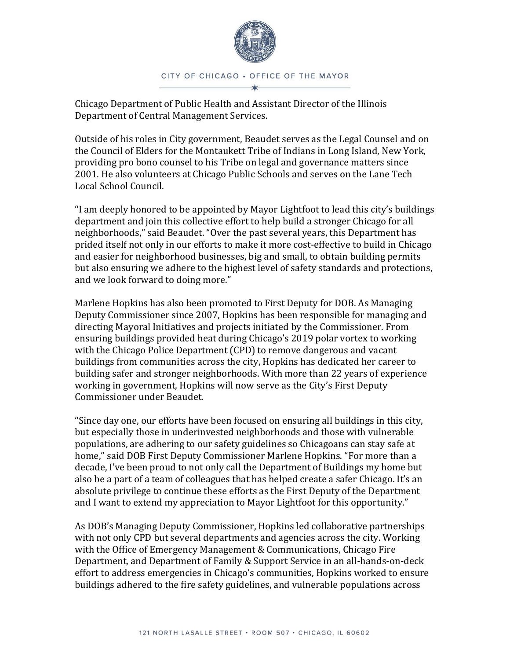

Chicago Department of Public Health and Assistant Director of the Illinois Department of Central Management Services.

Outside of his roles in City government, Beaudet serves as the Legal Counsel and on the Council of Elders for the Montaukett Tribe of Indians in Long Island, New York, providing pro bono counsel to his Tribe on legal and governance matters since 2001. He also volunteers at Chicago Public Schools and serves on the Lane Tech Local School Council.

"I am deeply honored to be appointed by Mayor Lightfoot to lead this city's buildings department and join this collective effort to help build a stronger Chicago for all neighborhoods," said Beaudet. "Over the past several years, this Department has prided itself not only in our efforts to make it more cost-effective to build in Chicago and easier for neighborhood businesses, big and small, to obtain building permits but also ensuring we adhere to the highest level of safety standards and protections, and we look forward to doing more."

Marlene Hopkins has also been promoted to First Deputy for DOB. As Managing Deputy Commissioner since 2007, Hopkins has been responsible for managing and directing Mayoral Initiatives and projects initiated by the Commissioner. From ensuring buildings provided heat during Chicago's 2019 polar vortex to working with the Chicago Police Department (CPD) to remove dangerous and vacant buildings from communities across the city, Hopkins has dedicated her career to building safer and stronger neighborhoods. With more than 22 years of experience working in government, Hopkins will now serve as the City's First Deputy Commissioner under Beaudet.

"Since day one, our efforts have been focused on ensuring all buildings in this city, but especially those in underinvested neighborhoods and those with vulnerable populations, are adhering to our safety guidelines so Chicagoans can stay safe at home," said DOB First Deputy Commissioner Marlene Hopkins. "For more than a decade, I've been proud to not only call the Department of Buildings my home but also be a part of a team of colleagues that has helped create a safer Chicago. It's an absolute privilege to continue these efforts as the First Deputy of the Department and I want to extend my appreciation to Mayor Lightfoot for this opportunity."

As DOB's Managing Deputy Commissioner, Hopkins led collaborative partnerships with not only CPD but several departments and agencies across the city. Working with the Office of Emergency Management & Communications, Chicago Fire Department, and Department of Family & Support Service in an all-hands-on-deck effort to address emergencies in Chicago's communities, Hopkins worked to ensure buildings adhered to the fire safety guidelines, and vulnerable populations across